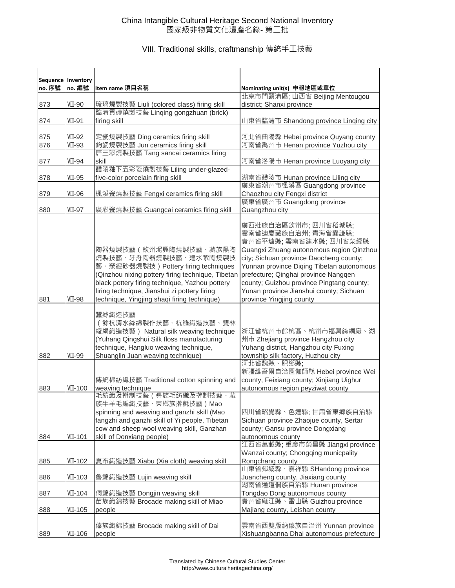|        | Sequence   Inventory |                                                                                                                                                                                                                                                                                              |                                                                                                                                                                                                                                                                                                                                                                   |
|--------|----------------------|----------------------------------------------------------------------------------------------------------------------------------------------------------------------------------------------------------------------------------------------------------------------------------------------|-------------------------------------------------------------------------------------------------------------------------------------------------------------------------------------------------------------------------------------------------------------------------------------------------------------------------------------------------------------------|
| no. 序號 | no. 編號               | Item name 項目名稱                                                                                                                                                                                                                                                                               | Nominating unit(s) 申報地區或單位                                                                                                                                                                                                                                                                                                                                        |
|        |                      |                                                                                                                                                                                                                                                                                              | 北京市門頭溝區; 山西省 Beijing Mentougou                                                                                                                                                                                                                                                                                                                                    |
| 873    | VIII-90              | 琉璃燒製技藝 Liuli (colored class) firing skill                                                                                                                                                                                                                                                    | district; Shanxi province                                                                                                                                                                                                                                                                                                                                         |
|        |                      | 臨清貢磚燒製技藝 Linging gongzhuan (brick)                                                                                                                                                                                                                                                           |                                                                                                                                                                                                                                                                                                                                                                   |
| 874    | VII-91               | firing skill                                                                                                                                                                                                                                                                                 | 山東省臨清市 Shandong province Linqing city                                                                                                                                                                                                                                                                                                                             |
|        |                      |                                                                                                                                                                                                                                                                                              |                                                                                                                                                                                                                                                                                                                                                                   |
| 875    | VII-92               | 定瓷燒製技藝 Ding ceramics firing skill                                                                                                                                                                                                                                                            | 河北省曲陽縣 Hebei province Quyang county                                                                                                                                                                                                                                                                                                                               |
| 876    | VII-93               | 鈞瓷燒製技藝 Jun ceramics firing skill                                                                                                                                                                                                                                                             | 河南省禹州市 Henan province Yuzhou city                                                                                                                                                                                                                                                                                                                                 |
|        |                      | 唐三彩燒製技藝 Tang sancai ceramics firing                                                                                                                                                                                                                                                          |                                                                                                                                                                                                                                                                                                                                                                   |
| 877    | VII-94               | skill                                                                                                                                                                                                                                                                                        | 河南省洛陽市 Henan province Luoyang city                                                                                                                                                                                                                                                                                                                                |
|        |                      | 醴陵釉下五彩瓷燒製技藝 Liling under-glazed-                                                                                                                                                                                                                                                             |                                                                                                                                                                                                                                                                                                                                                                   |
| 878    | <b>VII-95</b>        | five-color porcelain firing skill                                                                                                                                                                                                                                                            | 湖南省醴陵市 Hunan province Liling city                                                                                                                                                                                                                                                                                                                                 |
|        |                      |                                                                                                                                                                                                                                                                                              | 廣東省潮州市楓溪區 Guangdong province                                                                                                                                                                                                                                                                                                                                      |
| 879    | VII-96               | 楓溪瓷燒製技藝 Fengxi ceramics firing skill                                                                                                                                                                                                                                                         | Chaozhou city Fengxi district<br>廣東省廣州市 Guangdong province                                                                                                                                                                                                                                                                                                        |
|        |                      |                                                                                                                                                                                                                                                                                              |                                                                                                                                                                                                                                                                                                                                                                   |
| 880    | VIII-97              | 廣彩瓷燒製技藝 Guangcai ceramics firing skill                                                                                                                                                                                                                                                       | Guangzhou city                                                                                                                                                                                                                                                                                                                                                    |
| 881    | VIII-98              | 陶器燒製技藝(欽州坭興陶燒製技藝、藏族黑陶<br>燒製技藝、牙舟陶器燒製技藝、建水紫陶燒製技<br>藝、滎經砂器燒製技) Pottery firing techniques<br>(Qinzhou nixing pottery firing technique, Tibetan<br>black pottery firing technique, Yazhou pottery<br>firing technique, Jianshui zi pottery firing<br>technique, Yingjing shaqi firing technique) | 廣西壯族自治區欽州市; 四川省稻城縣;<br>雲南省迪慶藏族自治州;青海省囊謙縣;<br>貴州省平塘縣;雲南省建水縣;四川省滎經縣<br>Guangxi Zhuang autonomous region Qinzhou<br>city; Sichuan province Daocheng county;<br>Yunnan province Diqing Tibetan autonomous<br>prefecture; Qinghai province Nangqen<br>county; Guizhou province Pingtang county;<br>Yunan province Jianshui county; Sichuan<br>province Yingjing county |
|        |                      |                                                                                                                                                                                                                                                                                              |                                                                                                                                                                                                                                                                                                                                                                   |
| 882    | VII-99               | 蠶絲織造技藝<br>(餘杭清水絲綿製作技藝、杭羅織造技藝、雙林<br>綾絹織造技藝) Natural silk weaving technique<br>(Yuhang Qingshui Silk floss manufacturing<br>technique, Hangluo weaving technique,<br>Shuanglin Juan weaving technique)                                                                                         | 浙江省杭州市餘杭區、杭州市福興絲綢廠、湖<br>州市 Zhejiang province Hangzhou city<br>Yuhang district, Hangzhou city Fuxing<br>township silk factory, Huzhou city                                                                                                                                                                                                                         |
|        |                      |                                                                                                                                                                                                                                                                                              | 河北省魏縣、肥鄉縣;                                                                                                                                                                                                                                                                                                                                                        |
|        |                      | 傳統棉紡織技藝 Traditional cotton spinning and                                                                                                                                                                                                                                                      | 新疆維吾爾自治區伽師縣 Hebei province Wei<br>county, Feixiang county; Xinjiang Uighur                                                                                                                                                                                                                                                                                        |
| 883    | VⅢ-100               | weaving technique                                                                                                                                                                                                                                                                            | autonomous region peyziwat county                                                                                                                                                                                                                                                                                                                                 |
|        |                      | 毛紡織及擀制技藝(彝族毛紡織及擀制技藝、藏<br>族牛羊毛編織技藝、東鄉族擀氈技藝)Mao<br>spinning and weaving and ganzhi skill (Mao<br>fangzhi and ganzhi skill of Yi people, Tibetan<br>cow and sheep wool weaving skill, Ganzhan                                                                                                   | 四川省昭覺縣、色達縣;甘肅省東鄉族自治縣<br>Sichuan province Zhaojue county, Sertar<br>county; Gansu province Dongxiang                                                                                                                                                                                                                                                               |
| 884    | VII-101              | skill of Donxiang people)                                                                                                                                                                                                                                                                    | autonomous county                                                                                                                                                                                                                                                                                                                                                 |
|        |                      |                                                                                                                                                                                                                                                                                              | 江西省萬載縣; 重慶市榮昌縣 Jiangxi province                                                                                                                                                                                                                                                                                                                                   |
|        |                      |                                                                                                                                                                                                                                                                                              | Wanzai county; Chongqing municpality                                                                                                                                                                                                                                                                                                                              |
| 885    | VII-102              | 夏布織造技藝 Xiabu (Xia cloth) weaving skill                                                                                                                                                                                                                                                       | Rongchang county                                                                                                                                                                                                                                                                                                                                                  |
|        |                      |                                                                                                                                                                                                                                                                                              | 山東省鄄城縣、嘉祥縣 SHandong province                                                                                                                                                                                                                                                                                                                                      |
| 886    | VII-103              | 魯錦織造技藝 Lujin weaving skill                                                                                                                                                                                                                                                                   | Juancheng county, Jiaxiang county                                                                                                                                                                                                                                                                                                                                 |
|        |                      |                                                                                                                                                                                                                                                                                              | 湖南省通道侗族自治縣 Hunan province                                                                                                                                                                                                                                                                                                                                         |
| 887    | VIII-104             | 侗錦織造技藝 Dongjin weaving skill                                                                                                                                                                                                                                                                 | Tongdao Dong autonomous county                                                                                                                                                                                                                                                                                                                                    |
|        |                      | 苗族織錦技藝 Brocade making skill of Miao                                                                                                                                                                                                                                                          | 貴州省麻江縣、雷山縣 Guizhou province                                                                                                                                                                                                                                                                                                                                       |
| 888    | VII-105              | people                                                                                                                                                                                                                                                                                       | Majiang county, Leishan county                                                                                                                                                                                                                                                                                                                                    |
| 889    | VIII-106             | 傣族織錦技藝 Brocade making skill of Dai<br>people                                                                                                                                                                                                                                                 | 雲南省西雙版納傣族自治州 Yunnan province<br>Xishuangbanna Dhai autonomous prefecture                                                                                                                                                                                                                                                                                          |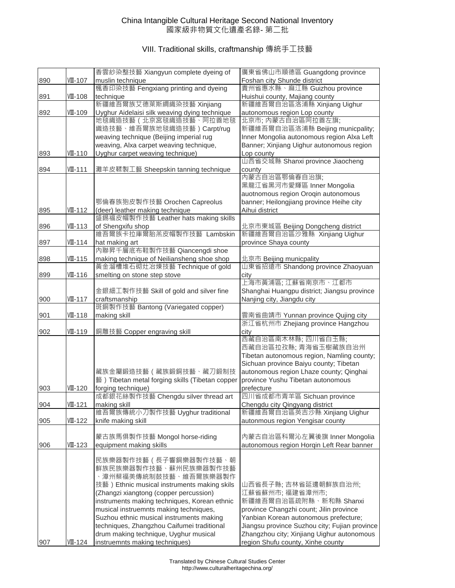|     |          | 香雲紗染整技藝 Xiangyun complete dyeing of                 | 廣東省佛山市順德區 Guangdong province                                            |
|-----|----------|-----------------------------------------------------|-------------------------------------------------------------------------|
| 890 | VII-107  | muslin technique                                    | Foshan city Shunde district                                             |
|     |          | 楓香印染技藝 Fengxiang printing and dyeing                | 貴州省惠水縣、麻江縣 Guizhou province                                             |
| 891 | VIII-108 | technique                                           | Huishui county, Majiang county                                          |
|     |          | 新疆維吾爾族艾德萊斯綢織染技藝 Xinjiang                            | 新疆維吾爾自治區洛浦縣 Xinjiang Uighur                                             |
| 892 | VII-109  | Uyghur Aidelaisi silk weaving dying technique       | autonomous region Lop county                                            |
|     |          | 地毯織造技藝 ( 北京宮毯織造技藝、阿拉善地毯                             | 北京市; 内蒙古自治區阿拉善左旗;                                                       |
|     |          | 織造技藝、維吾爾族地毯織造技藝) Carpt/rug                          | 新疆維吾爾自治區洛浦縣 Beijing municpality;                                        |
|     |          | weaving technique (Beijing imperial rug             | Inner Mongolia autonomous region Alxa Left                              |
|     |          | weaving, Alxa carpet weaving technique,             | Banner; Xinjiang Uighur autonomous region                               |
| 893 | VIII-110 | Uyghur carpet weaving technique)                    | Lop county                                                              |
|     |          |                                                     | 山西省交城縣 Shanxi province Jiaocheng                                        |
| 894 | VII-111  | 灘羊皮鞣製工藝 Sheepskin tanning technique                 | county                                                                  |
|     |          |                                                     | 內蒙古自治區鄂倫春自治旗;                                                           |
|     |          |                                                     | 黑龍江省黑河市愛輝區 Inner Mongolia                                               |
|     |          |                                                     | auotnomous region Oroqin autonomous                                     |
|     |          | 鄂倫春族狍皮製作技藝 Orochen Capreolus                        | banner; Heilongjiang province Heihe city                                |
| 895 | VII-112  | (deer) leather making technique                     | Aihui district                                                          |
|     |          | 盛錫福皮帽製作技藝 Leather hats making skills                |                                                                         |
| 896 | VIII-113 | of Shengxifu shop                                   | 北京市東城區 Beijing Dongcheng district                                       |
|     |          | 維吾爾族卡拉庫爾胎羔皮帽製作技藝 Lambskin                           | 新疆維吾爾自治區沙雅縣 Xinjiang Uighur                                             |
| 897 | VII-114  | hat making art                                      | province Shaya county                                                   |
|     |          | 內聯昇千層底布鞋製作技藝 Qiancengdi shoe                        |                                                                         |
| 898 | VII-115  | making technique of Neiliansheng shoe shop          | 北京市 Beijing municpality                                                 |
|     |          | 黃金溜槽堆石砌灶冶煉技藝 Technique of gold                      | 山東省招遠市 Shandong province Zhaoyuan                                       |
| 899 | VII-116  | smelting on stone step stove                        | city<br>上海市黃浦區; 江蘇省南京市、江都市                                              |
|     |          |                                                     |                                                                         |
|     |          | 金銀細工製作技藝 Skill of gold and silver fine              | Shanghai Huangpu district; Jiangsu province                             |
| 900 | VIII-117 | craftsmanship<br>斑銅製作技藝 Bantong (Variegated copper) | Nanjing city, Jiangdu city                                              |
|     |          |                                                     |                                                                         |
| 901 | VII-118  | making skill                                        | 雲南省曲靖市 Yunnan province Qujing city<br>浙江省杭州市 Zhejiang province Hangzhou |
| 902 | VII-119  | 銅雕技藝 Copper engraving skill                         | city                                                                    |
|     |          |                                                     | 西藏自治區南木林縣;四川省白玉縣;                                                       |
|     |          |                                                     | 西藏自治區拉孜縣; 青海省玉樹藏族自治州                                                    |
|     |          |                                                     | Tibetan autonomous region, Namling county;                              |
|     |          |                                                     | Sichuan province Baiyu county; Tibetan                                  |
|     |          | 藏族金屬鍛造技藝(藏族鍛銅技藝、藏刀鍛制技                               | autonomous region Lhaze county; Qinghai                                 |
|     |          | 藝) Tibetan metal forging skills (Tibetan copper     | province Yushu Tibetan autonomous                                       |
| 903 | VII-120  | forging technique)                                  | prefecture                                                              |
|     |          | 成都銀花絲製作技藝 Chengdu silver thread art                 | 四川省成都市青羊區 Sichuan province                                              |
| 904 | VII-121  | making skill                                        | Chengdu city Qingyang district                                          |
|     |          | 維吾爾族傳統小刀製作技藝 Uyghur traditional                     | 新疆維吾爾自治區英吉沙縣 Xinjiang Uighur                                            |
| 905 | VIII-122 | knife making skill                                  | autonmous region Yengisar county                                        |
|     |          |                                                     |                                                                         |
|     |          | 蒙古族馬俱製作技藝 Mongol horse-riding                       | 內蒙古自治區科爾沁左翼後旗 Inner Mongolia                                            |
| 906 | VII-123  | equipment making skills                             | autonomous region Horqin Left Rear banner                               |
|     |          |                                                     |                                                                         |
|     |          | 民族樂器製作技藝(長子響銅樂器製作技藝、朝                               |                                                                         |
|     |          | 鮮族民族樂器製作技藝、蘇州民族樂器製作技藝                               |                                                                         |
|     |          | 、漳州蔡福美傳統制鼓技藝、維吾爾族樂器製作                               |                                                                         |
|     |          | 技藝) Ethnic musical instruments making skils         | 山西省長子縣;吉林省延邊朝鮮族自治州;                                                     |
|     |          | (Zhangzi xiangtong (copper percussion)              | 江蘇省蘇州市;福建省漳州市;                                                          |
|     |          | instruments making techniques, Korean ethnic        | 新疆維吾爾自治區疏附縣、新和縣 Shanxi                                                  |
|     |          | musical instruemnts making techniques,              | province Changzhi count; Jilin province                                 |
|     |          | Suzhou ethnic musical instruments making            | Yanbian Korean autonomous prefecture;                                   |
|     |          | techniques, Zhangzhou Caifumei traditional          | Jiangsu province Suzhou city; Fujian province                           |
|     |          | drum making technique, Uyghur musical               | Zhangzhou city; Xinjiang Uighur autonomous                              |
| 907 | VIII-124 | instruemnts making techniques)                      | region Shufu county, Xinhe county                                       |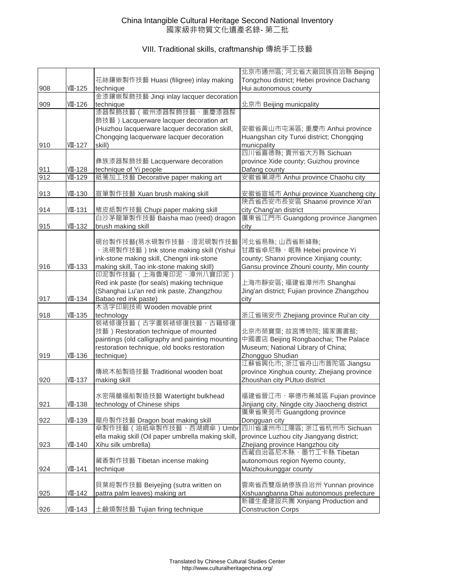|     |                |                                                               | 北京市通州區; 河北省大廠回族自治縣 Beijing                                               |
|-----|----------------|---------------------------------------------------------------|--------------------------------------------------------------------------|
|     |                | 花絲鑲嵌製作技藝 Huasi (filigree) inlay making                        | Tongzhou district; Hebei province Dachang                                |
| 908 | VII-125        | technique                                                     | Hui autonomous county                                                    |
|     |                | 金漆鑲嵌髹飾技藝 Jinqi inlay lacquer decoration                       |                                                                          |
| 909 | VII-126        | technique                                                     | 北京市 Beijing municpality                                                  |
|     |                | 漆器髹飾技藝 ( 徽州漆器髹飾技藝、重慶漆器髹                                       |                                                                          |
|     |                | 飾技藝) Lacquerware lacquer decoration art                       |                                                                          |
|     |                | (Huizhou lacquerware lacquer decoration skill,                | 安徽省黃山市屯溪區; 重慶市 Anhui province                                            |
|     |                | Chongqing lacquerware lacquer decoration                      | Huangshan city Tunxi district; Chongqing                                 |
| 910 | <b>VII-127</b> | skill)                                                        | municpality                                                              |
|     |                |                                                               | 四川省喜德縣;貴州省大方縣 Sichuan                                                    |
|     |                | 彝族漆器髹飾技藝 Lacquerware decoration                               | province Xide county; Guizhou province                                   |
| 911 | VII-128        | technique of Yi people                                        | Dafang county                                                            |
| 912 | VII-129        | 紙箋加工技藝 Decorative paper making art                            | 安徽省巢湖市 Anhui province Chaohu city                                        |
|     |                |                                                               |                                                                          |
| 913 | VII-130        | 宣筆製作技藝 Xuan brush making skill                                | 安徽省宣城市 Anhui province Xuancheng city<br>陝西省西安市長安區 Shaanxi province Xi'an |
| 914 | VII-131        | 楮皮紙製作技藝 Chupi paper making skill                              |                                                                          |
|     |                | 白沙茅龍筆製作技藝 Baisha mao (reed) dragon                            | city Chang'an district<br>廣東省江門市 Guangdong province Jiangmen             |
| 915 | VII-132        | brush making skill                                            | city                                                                     |
|     |                |                                                               |                                                                          |
|     |                | 硯台製作技藝(易水硯製作技藝、澄泥硯製作技藝                                        | 河北省易縣;山西省新絳縣;                                                            |
|     |                | 、洮硯製作技藝)Ink stone making skill (Yishui                        | 甘肅省卓尼縣、岷縣 Hebei province Yi                                              |
|     |                | ink-stone making skill, Chengni ink-stone                     | county; Shanxi province Xinjiang county;                                 |
| 916 | VII-133        | making skill, Tao ink-stone making skill)                     | Gansu province Zhouni county, Min county                                 |
|     |                | 印泥製作技藝 (上海魯庵印泥、漳州八寶印泥)                                        |                                                                          |
|     |                | Red ink paste (for seals) making technique                    | 上海市靜安區; 福建省漳州市 Shanghai                                                  |
|     |                | (Shanghai Lu'an red ink paste, Zhangzhou                      | Jing'an district; Fujian province Zhangzhou                              |
| 917 | VII-134        | Babao red ink paste)                                          | city                                                                     |
|     |                | 木活字印刷技術 Wooden movable print                                  |                                                                          |
| 918 | VII-135        | technology                                                    | 浙江省瑞安市 Zhejiang province Rui'an city                                     |
|     |                | 装裱修復技藝(古字畫裝裱修復技藝、古籍修復                                         |                                                                          |
|     |                | 技藝) Restoration technique of mounted                          | 北京市榮寶齋;故宮博物院;國家圖書館;                                                      |
|     |                | paintings (old calligraphy and painting mounting              | 中國書店 Beijing Rongbaochai; The Palace                                     |
|     |                | restoration technique, old books restoration                  | Museum; National Library of China;                                       |
| 919 | VII-136        | technique)                                                    | Zhongguo Shudian                                                         |
|     |                |                                                               | 江蘇省興化市;浙江省舟山市普陀區 Jiangsu                                                 |
|     |                | 傳統木船製造技藝 Traditional wooden boat                              | province Xinghua county; Zhejiang province                               |
| 920 | VII-137        | making skill                                                  | Zhoushan city PUtuo district                                             |
|     |                |                                                               | 福建省晉江市、寧德市蕉城區 Fujian province                                            |
| 921 | VII-138        | 水密隔艙福船製造技藝 Watertight bulkhead<br>technology of Chinese ships | Jinjiang city, Ningde city Jiaocheng district                            |
|     |                |                                                               | 廣東省東莞市 Guangdong province                                                |
| 922 | VIII-139       | 龍舟製作技藝 Dragon boat making skill                               | Dongguan city                                                            |
|     |                | 傘製作技藝(油紙傘製作技藝、西湖綢傘)Umbr                                       | 四川省瀘州市江陽區; 浙江省杭州市 Sichuan                                                |
|     |                | ella makig skill (Oil paper umbrella making skill,            | province Luzhou city Jiangyang district;                                 |
| 923 | VII-140        | Xihu silk umbrella)                                           | Zhejiang province Hangzhou city                                          |
|     |                |                                                               | 西藏自治區尼木縣、墨竹工卡縣 Tibetan                                                   |
|     |                | 藏香製作技藝 Tibetan incense making                                 | autonomous region Nyemo county,                                          |
| 924 | VIII-141       | technique                                                     | Maizhoukunggar county                                                    |
|     |                |                                                               |                                                                          |
|     |                | 貝葉經製作技藝 Beiyejing (sutra written on                           | 雲南省西雙版納傣族自治州 Yunnan province                                             |
| 925 | VII-142        | pattra palm leaves) making art                                | Xishuangbanna Dhai autonomous prefecture                                 |
|     |                |                                                               | 新疆生產建設兵團 Xinjiang Production and                                         |
| 926 | VII-143        | 土鹼燒製技藝 Tujian firing technique                                | <b>Construction Corps</b>                                                |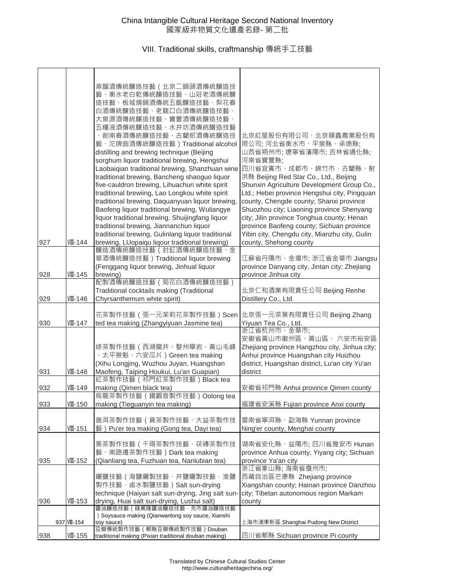|     |             | 蒸餾酒傳統釀造技藝(北京ニ鍋頭酒傳統釀造技<br>藝、衡水老白乾傳統釀造技藝、山莊老酒傳統釀<br>造技藝、板城燒鍋酒傳統五甑釀造技藝、梨花春<br>白酒傳統釀造技藝、老龍口白酒傳統釀造技藝、<br>大泉源酒傳統釀造技藝、寶豐酒傳統釀造技藝、<br>五糧液酒傳統釀造技藝、水井坊酒傳統釀造技藝<br>、劍南春酒傳統釀造技藝、古藺郎酒傳統釀造技<br>藝、沱牌曲酒傳統釀造技藝)Traditional alcohol<br>distilling and brewing technique (Beijing<br>sorghum liquor traditional brewing, Hengshui<br>Laobaiqian traditional brewing, Shanzhuan wine<br>traditional brewing, Bancheng shaoguo liquor<br>five-cauldron brewing, Lihuachun white spirit<br>traditional brewiing, Lao Longkou white spirit<br>traditional brewing, Daquanyuan liquor brewing, | 北京紅星股份有限公司、北京順鑫農業股份有<br>限公司;河北省衡水市、平泉縣、承德縣;<br>山西省朔州市; 遼寧省瀋陽市; 吉林省通化縣;<br>河南省寶豐縣;<br>四川省宜賓市、成都市、綿竹市、古藺縣、射<br>洪縣 Beijing Red Star Co., Ltd., Beijing<br>Shunxin Agriculture Development Group Co.,<br>Ltd.; Hebei province Hengshui city, Pingquan<br>county, Chengde county; Shanxi province |
|-----|-------------|----------------------------------------------------------------------------------------------------------------------------------------------------------------------------------------------------------------------------------------------------------------------------------------------------------------------------------------------------------------------------------------------------------------------------------------------------------------------------------------------------------------------------------------------------------------------|----------------------------------------------------------------------------------------------------------------------------------------------------------------------------------------------------------------------------------------------------------------------------------------------|
|     |             | Baofeng liquor traditional brewing, Wuliangye<br>liquor traditional brewing, Shuijingfang liquor                                                                                                                                                                                                                                                                                                                                                                                                                                                                     | Shuozhou city; Liaoning province Shenyang<br>city; Jilin province Tonghua county; Henan                                                                                                                                                                                                      |
|     |             | traditional brewing, Jiannanchun liquor                                                                                                                                                                                                                                                                                                                                                                                                                                                                                                                              | province Baofeng county; Sichuan province                                                                                                                                                                                                                                                    |
|     |             | traditional brewing, Gulinlang liquor traditional                                                                                                                                                                                                                                                                                                                                                                                                                                                                                                                    | Yibin city, Chengdu city, Mianzhu city, Gulin                                                                                                                                                                                                                                                |
| 927 | VII-144     | brewing, LUopaiqu liqour traditional brewing)                                                                                                                                                                                                                                                                                                                                                                                                                                                                                                                        | county, Shehong county                                                                                                                                                                                                                                                                       |
|     |             | 釀造酒傳統釀造技藝 (封缸酒傳統釀造技藝、金<br>華酒傳統釀造技藝) Traditional liquor brewing                                                                                                                                                                                                                                                                                                                                                                                                                                                                                                       | 江蘇省丹陽市、金壇市; 浙江省金華市 Jiangsu                                                                                                                                                                                                                                                                   |
|     |             | (Fenggang liquor brewing, Jinhual liquor                                                                                                                                                                                                                                                                                                                                                                                                                                                                                                                             | province Danyang city, Jintan city; Zhejiang                                                                                                                                                                                                                                                 |
| 928 | VII-145     | brewing)                                                                                                                                                                                                                                                                                                                                                                                                                                                                                                                                                             | province Jinhua city                                                                                                                                                                                                                                                                         |
|     |             | 配製酒傳統釀造技藝 (菊花白酒傳統釀造技藝)                                                                                                                                                                                                                                                                                                                                                                                                                                                                                                                                               |                                                                                                                                                                                                                                                                                              |
|     |             | Traditional cocktails making (Traditional                                                                                                                                                                                                                                                                                                                                                                                                                                                                                                                            | 北京仁和酒業有限責任公司 Beijing Renhe                                                                                                                                                                                                                                                                   |
| 929 | VIII-146    | Chyrsanthemum white spirit)                                                                                                                                                                                                                                                                                                                                                                                                                                                                                                                                          | Distillery Co., Ltd.                                                                                                                                                                                                                                                                         |
|     |             | 花茶製作技藝 (張一元茉莉花茶製作技藝) Scen                                                                                                                                                                                                                                                                                                                                                                                                                                                                                                                                            | 北京張一元茶葉有限責任公司 Beijing Zhang                                                                                                                                                                                                                                                                  |
| 930 | VIII-147    | ted tea making (Zhangyiyuan Jasmine tea)                                                                                                                                                                                                                                                                                                                                                                                                                                                                                                                             | Yiyuan Tea Co., Ltd.                                                                                                                                                                                                                                                                         |
|     |             |                                                                                                                                                                                                                                                                                                                                                                                                                                                                                                                                                                      | 浙江省杭州市、金華市;                                                                                                                                                                                                                                                                                  |
|     |             | 綠茶製作技藝 ( 西湖龍井、婺州舉岩、黃山毛峰                                                                                                                                                                                                                                                                                                                                                                                                                                                                                                                                              | 安徽省黃山市徽州區、黃山區、 六安市裕安區<br>Zhejiang province Hangzhou city, Jinhua city;                                                                                                                                                                                                                       |
|     |             | 、太平猴魁、六安瓜片)Green tea making                                                                                                                                                                                                                                                                                                                                                                                                                                                                                                                                          | Anhui province Huangshan city Huizhou                                                                                                                                                                                                                                                        |
|     |             | (Xihu Longjing, Wuzhou Juyan, Huangshan                                                                                                                                                                                                                                                                                                                                                                                                                                                                                                                              | district, Huangshan district, Lu'an city Yu'an                                                                                                                                                                                                                                               |
| 931 | VII-148     | Maofeng, Taiping Houkui, Lu'an Guapian)                                                                                                                                                                                                                                                                                                                                                                                                                                                                                                                              | district                                                                                                                                                                                                                                                                                     |
|     |             | 紅茶製作技藝 (祁門紅茶製作技藝) Black tea                                                                                                                                                                                                                                                                                                                                                                                                                                                                                                                                          |                                                                                                                                                                                                                                                                                              |
| 932 | VII-149     | making (Qimen black tea)<br>烏龍茶製作技藝 ( 鐵觀音製作技藝) Oolong tea                                                                                                                                                                                                                                                                                                                                                                                                                                                                                                            | 安徽省祁門縣 Anhui province Qimen county                                                                                                                                                                                                                                                           |
| 933 | $VII-150$   | making (Tieguanyin tea making)                                                                                                                                                                                                                                                                                                                                                                                                                                                                                                                                       | 福建省安溪縣 Fujian province Anxi county                                                                                                                                                                                                                                                           |
|     |             |                                                                                                                                                                                                                                                                                                                                                                                                                                                                                                                                                                      |                                                                                                                                                                                                                                                                                              |
|     |             | 普洱茶製作技藝(貢茶製作技藝、大益茶製作技                                                                                                                                                                                                                                                                                                                                                                                                                                                                                                                                                | 雲南省寧洱縣、勐海縣 Yunnan province                                                                                                                                                                                                                                                                   |
| 934 | VII-151     | 藝) Pu'er tea making (Gong tea, Dayi tea)                                                                                                                                                                                                                                                                                                                                                                                                                                                                                                                             | Ning'er county, Menghai county                                                                                                                                                                                                                                                               |
|     |             | 黑茶製作技藝 ( 千兩茶製作技藝、茯磚茶製作技                                                                                                                                                                                                                                                                                                                                                                                                                                                                                                                                              | 湖南省安化縣、益陽市; 四川省雅安市 Hunan                                                                                                                                                                                                                                                                     |
|     |             | 藝、南路邊茶製作技藝) Dark tea making                                                                                                                                                                                                                                                                                                                                                                                                                                                                                                                                          | province Anhua county, Yiyang city; Sichuan                                                                                                                                                                                                                                                  |
| 935 | VII-152     | (Qianliang tea, Fuzhuan tea, Nanlubian tea)                                                                                                                                                                                                                                                                                                                                                                                                                                                                                                                          | province Ya'an city                                                                                                                                                                                                                                                                          |
|     |             |                                                                                                                                                                                                                                                                                                                                                                                                                                                                                                                                                                      | 浙江省象山縣;海南省儋州市;                                                                                                                                                                                                                                                                               |
|     |             | 曬鹽技藝 ( 海鹽曬製技藝, 井鹽曬製技藝, 淮鹽<br>製作技藝,鹵水製鹽技藝)Salt sun-drying                                                                                                                                                                                                                                                                                                                                                                                                                                                                                                             | 西藏自治區芒康縣 Zhejiang province<br>Xiangshan county; Hainan province Danzhou                                                                                                                                                                                                                      |
|     |             | technique (Haiyan salt sun-drying, Jing salt sun-                                                                                                                                                                                                                                                                                                                                                                                                                                                                                                                    | city; Tibetan autonomous region Markam                                                                                                                                                                                                                                                       |
| 936 | VIII-153    | drying, Huai salt sun-drying, Lushui salt)                                                                                                                                                                                                                                                                                                                                                                                                                                                                                                                           | county                                                                                                                                                                                                                                                                                       |
|     |             | 醬油釀造技藝(錢萬隆醬油釀造技藝‧先市醬油釀造技藝                                                                                                                                                                                                                                                                                                                                                                                                                                                                                                                                            |                                                                                                                                                                                                                                                                                              |
|     | 937 VII-154 | ) Soysauce making (Qianwanlong soy sauce, Xianshi<br>soy sauce)                                                                                                                                                                                                                                                                                                                                                                                                                                                                                                      | 上海市浦東新區 Shanghai Pudong New District                                                                                                                                                                                                                                                         |
|     |             | 豆瓣傳統製作技藝 ( 郫縣豆瓣傳統製作技藝) Douban                                                                                                                                                                                                                                                                                                                                                                                                                                                                                                                                        |                                                                                                                                                                                                                                                                                              |
| 938 | VIII-155    | traditional making (Pixian traditional douban making)                                                                                                                                                                                                                                                                                                                                                                                                                                                                                                                | 四川省郫縣 Sichuan province Pi county                                                                                                                                                                                                                                                             |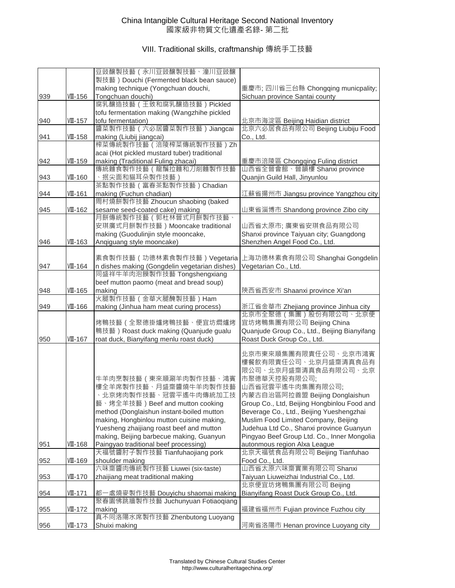|     |          | 豆豉釀製技藝 (永川豆豉釀製技藝、潼川豆豉釀                                                       |                                                                                  |
|-----|----------|------------------------------------------------------------------------------|----------------------------------------------------------------------------------|
|     |          | 製技藝) Douchi (Fermented black bean sauce)                                     |                                                                                  |
|     |          | making technique (Yongchuan douchi,                                          | 重慶市; 四川省三台縣 Chongqing municpality;                                               |
| 939 | VII-156  | Tongchuan douchi)                                                            | Sichuan province Santai county                                                   |
|     |          | 腐乳釀造技藝 (王致和腐乳釀造技藝) Pickled                                                   |                                                                                  |
|     |          | tofu fermentation making (Wangzhihe pickled                                  |                                                                                  |
| 940 | VIII-157 | tofu fermentation)                                                           | 北京市海淀區 Beijing Haidian district                                                  |
|     |          | 醬菜製作技藝 (六必居醬菜製作技藝) Jiangcai                                                  | 北京六必居食品有限公司 Beijing Liubiju Food                                                 |
| 941 | VIII-158 | making (Liubij jiangcai)                                                     | Co., Ltd.                                                                        |
|     |          | 榨菜傳統製作技藝(涪陵榨菜傳統製作技藝)Zh                                                       |                                                                                  |
|     |          | acai (Hot pickled mustard tuber) traditional                                 |                                                                                  |
| 942 | VII-159  | making (Traditional Fuling zhacai)                                           | 重慶市涪陵區 Chongqing Fuling district                                                 |
|     |          | 傳統麵食製作技藝(龍鬚拉麵和刀削麵製作技藝                                                        | 山西省全晉會館、晉韻樓 Shanxi province                                                      |
| 943 | VIII-160 | 、抿尖面和貓耳朵製作技藝                                                                 | Quanjin Guild Hall, Jinyunlou                                                    |
|     |          | 茶點製作技藝 (富春茶點製作技藝) Chadian                                                    |                                                                                  |
| 944 | VII-161  | making (Fuchun chadian)                                                      | 江蘇省揚州市 Jiangsu province Yangzhou city                                            |
|     |          | 周村燒餅製作技藝 Zhoucun shaobing (baked                                             |                                                                                  |
| 945 | VIII-162 | sesame seed-coated cake) making                                              | 山東省淄博市 Shandong province Zibo city                                               |
|     |          | 月餅傳統製作技藝 (郭杜林晉式月餅製作技藝、                                                       |                                                                                  |
|     |          | 安琪廣式月餅製作技藝) Mooncake traditional                                             | 山西省太原市; 廣東省安琪食品有限公司                                                              |
|     |          | making (Guodulinjin style mooncake,                                          | Shanxi province Taiyuan city; Guangdong                                          |
| 946 | VII-163  | Angiguang style mooncake)                                                    | Shenzhen Angel Food Co., Ltd.                                                    |
|     |          | 素食製作技藝(功德林素食製作技藝)Vegetaria                                                   |                                                                                  |
|     |          |                                                                              | 上海功德林素食有限公司 Shanghai Gongdelin                                                   |
| 947 | VII-164  | n dishes making (Gongdelin vegetarian dishes)<br>同盛祥牛羊肉泡饃製作技藝 Tongshengxiang | Vegetarian Co., Ltd.                                                             |
|     |          | beef mutton paomo (meat and bread soup)                                      |                                                                                  |
| 948 | VII-165  | making                                                                       | 陝西省西安市 Shaanxi province Xi'an                                                    |
|     |          | 火腿製作技藝(金華火腿醃製技藝)Ham                                                          |                                                                                  |
| 949 | VII-166  | making (Jinhua ham meat curing process)                                      | 浙江省金華市 Zhejiang province Jinhua city                                             |
|     |          |                                                                              | 北京市全聚德(集團)股份有限公司、北京便                                                             |
|     |          | 烤鴨技藝 (全聚德掛爐烤鴨技藝、便宜坊燜爐烤                                                       | 宜坊烤鴨集團有限公司 Beijing China                                                         |
|     |          | 鴨技藝) Roast duck making (Quanjude gualu                                       | Quanjude Group Co., Ltd., Beijing Bianyifang                                     |
| 950 | VII-167  | roat duck, Bianyifang menlu roast duck)                                      | Roast Duck Group Co., Ltd.                                                       |
|     |          |                                                                              |                                                                                  |
|     |          |                                                                              | 北京市東來順集團有限責任公司、北京市鴻賓                                                             |
|     |          |                                                                              | 樓餐飲有限責任公司、北京月盛齋清真食品有                                                             |
|     |          |                                                                              | 限公司、北京月盛齋清真食品有限公司、北京                                                             |
|     |          | 牛羊肉烹製技藝(東來順涮羊肉製作技藝、鴻賓                                                        | 市聚德華天控股有限公司;                                                                     |
|     |          | 樓全羊席製作技藝、月盛齋醬燒牛羊肉製作技藝                                                        | 山西省冠雲平遙牛肉集團有限公司;                                                                 |
|     |          | 、北京烤肉製作技藝、冠雲平遙牛肉傳統加工技                                                        | 內蒙古自治區阿拉善盟 Beijing Donglaishun                                                   |
|     |          | 藝、烤全羊技藝)Beef and mutton cooking<br>method (Donglaishun instant-boiled mutton | Group Co., Ltd, Beijing Hongbinlou Food and                                      |
|     |          | making, Hongbinlou mutton cuisine making,                                    | Beverage Co., Ltd., Beijing Yueshengzhai<br>Muslim Food Limited Company, Beijing |
|     |          | Yuesheng zhaijiang roast beef and mutton                                     | Judehua Ltd Co., Shanxi province Guanyun                                         |
|     |          | making, Beijing barbecue making, Guanyun                                     | Pingyao Beef Group Ltd. Co., Inner Mongolia                                      |
| 951 | VII-168  | Paingyao traditional beef processing)                                        | autonmous region Alxa League                                                     |
|     |          | 天福號醬肘子製作技藝 Tianfuhaojiang pork                                               | 北京天福號食品有限公司 Beijing Tianfuhao                                                    |
| 952 | VIII-169 | shoulder making                                                              | Food Co., Ltd.                                                                   |
|     |          | 六味齋醬肉傳統製作技藝 Liuwei (six-taste)                                               | 山西省太原六味齋實業有限公司 Shanxi                                                            |
| 953 | VIII-170 | zhaijiang meat traditional making                                            | Taiyuan Liuweizhai Industrial Co., Ltd.                                          |
|     |          |                                                                              | 北京便宜坊烤鴨集團有限公司 Beijing                                                            |
| 954 | VII-171  | 都一處燒麥製作技藝 Douyichu shaomai making                                            | Bianyifang Roast Duck Group Co., Ltd.                                            |
|     |          | 聚春園佛跳牆製作技藝 Juchunyuan Fotiaoqiang                                            |                                                                                  |
| 955 | VIII-172 | making                                                                       | 福建省福州市 Fujian province Fuzhou city                                               |
|     |          | 真不同洛陽水席製作技藝 Zhenbutong Luoyang                                               |                                                                                  |
| 956 | VIII-173 | Shuixi making                                                                | 河南省洛陽市 Henan province Luoyang city                                               |